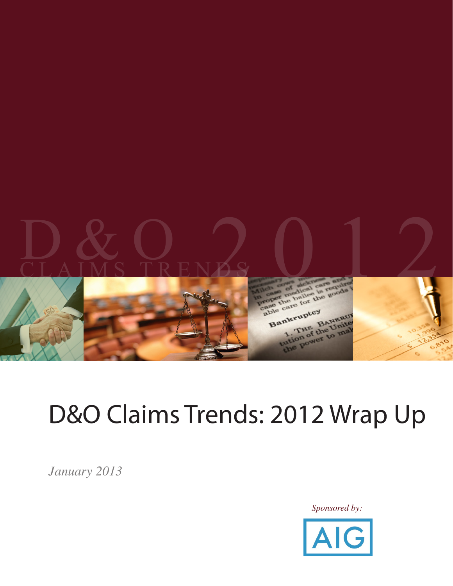

# D&O Claims Trends: 2012 Wrap Up

*January 2013*

*Sponsored by:*

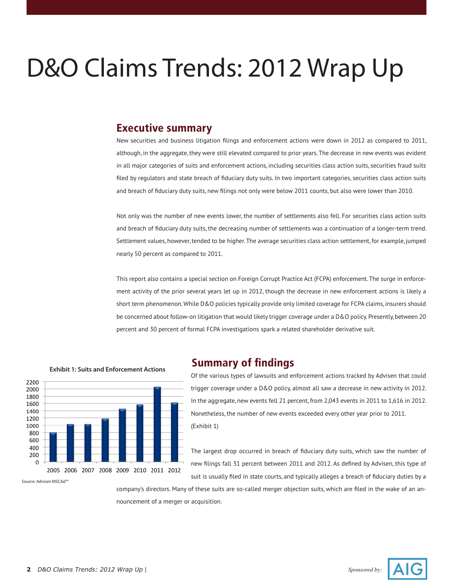# D&O Claims Trends: 2012 Wrap Up

#### **Executive summary**

New securities and business litigation filings and enforcement actions were down in 2012 as compared to 2011, although, in the aggregate, they were still elevated compared to prior years. The decrease in new events was evident in all major categories of suits and enforcement actions, including securities class action suits, securities fraud suits filed by regulators and state breach of fiduciary duty suits. In two important categories, securities class action suits and breach of fiduciary duty suits, new filings not only were below 2011 counts, but also were lower than 2010.

Not only was the number of new events lower, the number of settlements also fell. For securities class action suits and breach of fiduciary duty suits, the decreasing number of settlements was a continuation of a longer-term trend. Settlement values, however, tended to be higher. The average securities class action settlement, for example, jumped nearly 50 percent as compared to 2011.

This report also contains a special section on Foreign Corrupt Practice Act (FCPA) enforcement. The surge in enforcement activity of the prior several years let up in 2012, though the decrease in new enforcement actions is likely a short term phenomenon. While D&O policies typically provide only limited coverage for FCPA claims, insurers should be concerned about follow-on litigation that would likely trigger coverage under a D&O policy. Presently, between 20 percent and 30 percent of formal FCPA investigations spark a related shareholder derivative suit.



**Exhibit 1: Suits and Enforcement Actions**

#### **Summary of findings**

Of the various types of lawsuits and enforcement actions tracked by Advisen that could trigger coverage under a D&O policy, almost all saw a decrease in new activity in 2012. In the aggregate, new events fell 21 percent, from 2,043 events in 2011 to 1,616 in 2012. Nonetheless, the number of new events exceeded every other year prior to 2011. (Exhibit 1)

The largest drop occurred in breach of fiduciary duty suits, which saw the number of new filings fall 31 percent between 2011 and 2012. As defined by Advisen, this type of suit is usually filed in state courts, and typically alleges a breach of fiduciary duties by a

company's directors. Many of these suits are so-called merger objection suits, which are filed in the wake of an announcement of a merger or acquisition.

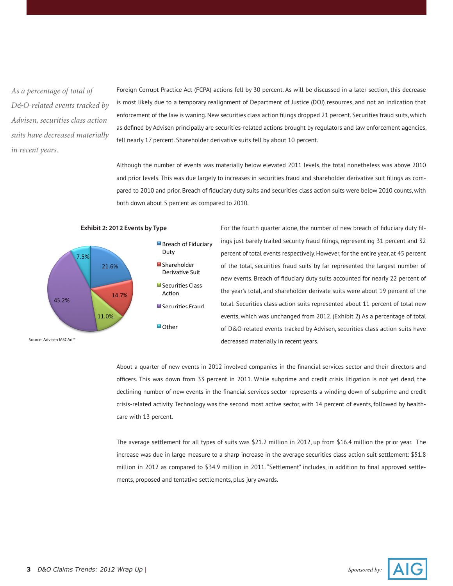*As a percentage of total of D&O-related events tracked by Advisen, securities class action suits have decreased materially in recent years.*

Foreign Corrupt Practice Act (FCPA) actions fell by 30 percent. As will be discussed in a later section, this decrease is most likely due to a temporary realignment of Department of Justice (DOJ) resources, and not an indication that enforcement of the law is waning. New securities class action filings dropped 21 percent. Securities fraud suits, which as defined by Advisen principally are securities-related actions brought by regulators and law enforcement agencies, fell nearly 17 percent. Shareholder derivative suits fell by about 10 percent.

Although the number of events was materially below elevated 2011 levels, the total nonetheless was above 2010 and prior levels. This was due largely to increases in securities fraud and shareholder derivative suit filings as compared to 2010 and prior. Breach of fiduciary duty suits and securities class action suits were below 2010 counts, with both down about 5 percent as compared to 2010.



**Exhibit 2: 2012 Events by Type**

For the fourth quarter alone, the number of new breach of fiduciary duty filings just barely trailed security fraud filings, representing 31 percent and 32 percent of total events respectively. However, for the entire year, at 45 percent of the total, securities fraud suits by far represented the largest number of new events. Breach of fiduciary duty suits accounted for nearly 22 percent of the year's total, and shareholder derivate suits were about 19 percent of the total. Securities class action suits represented about 11 percent of total new events, which was unchanged from 2012. (Exhibit 2) As a percentage of total of D&O-related events tracked by Advisen, securities class action suits have decreased materially in recent years.

About a quarter of new events in 2012 involved companies in the financial services sector and their directors and officers. This was down from 33 percent in 2011. While subprime and credit crisis litigation is not yet dead, the declining number of new events in the financial services sector represents a winding down of subprime and credit crisis-related activity. Technology was the second most active sector, with 14 percent of events, followed by healthcare with 13 percent.

The average settlement for all types of suits was \$21.2 million in 2012, up from \$16.4 million the prior year. The increase was due in large measure to a sharp increase in the average securities class action suit settlement: \$51.8 million in 2012 as compared to \$34.9 million in 2011. "Settlement" includes, in addition to final approved settlements, proposed and tentative settlements, plus jury awards.

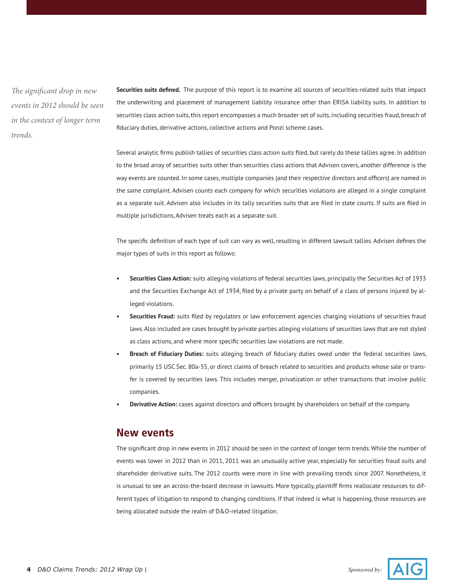*The significant drop in new events in 2012 should be seen in the context of longer term trends.*

**Securities suits defined.** The purpose of this report is to examine all sources of securities-related suits that impact the underwriting and placement of management liability insurance other than ERISA liability suits. In addition to securities class action suits, this report encompasses a much broader set of suits, including securities fraud, breach of fiduciary duties, derivative actions, collective actions and Ponzi scheme cases.

Several analytic firms publish tallies of securities class action suits filed, but rarely do these tallies agree. In addition to the broad array of securities suits other than securities class actions that Advisen covers, another difference is the way events are counted. In some cases, multiple companies (and their respective directors and officers) are named in the same complaint. Advisen counts each company for which securities violations are alleged in a single complaint as a separate suit. Advisen also includes in its tally securities suits that are filed in state courts. If suits are filed in multiple jurisdictions, Advisen treats each as a separate suit.

The specific definition of each type of suit can vary as well, resulting in different lawsuit tallies. Advisen defines the major types of suits in this report as follows:

- **• Securities Class Action:** suits alleging violations of federal securities laws, principally the Securities Act of 1933 and the Securities Exchange Act of 1934, filed by a private party on behalf of a class of persons injured by alleged violations.
- **• Securities Fraud:** suits filed by regulators or law enforcement agencies charging violations of securities fraud laws. Also included are cases brought by private parties alleging violations of securities laws that are not styled as class actions, and where more specific securities law violations are not made.
- **• Breach of Fiduciary Duties:** suits alleging breach of fiduciary duties owed under the federal securities laws, primarily 15 USC Sec. 80a-35, or direct claims of breach related to securities and products whose sale or transfer is covered by securities laws. This includes merger, privatization or other transactions that involve public companies.
- **• Derivative Action:** cases against directors and officers brought by shareholders on behalf of the company.

#### **New events**

The significant drop in new events in 2012 should be seen in the context of longer term trends. While the number of events was lower in 2012 than in 2011, 2011 was an unusually active year, especially for securities fraud suits and shareholder derivative suits. The 2012 counts were more in line with prevailing trends since 2007. Nonetheless, it is unusual to see an across-the-board decrease in lawsuits. More typically, plaintiff firms reallocate resources to different types of litigation to respond to changing conditions. If that indeed is what is happening, those resources are being allocated outside the realm of D&O-related litigation.

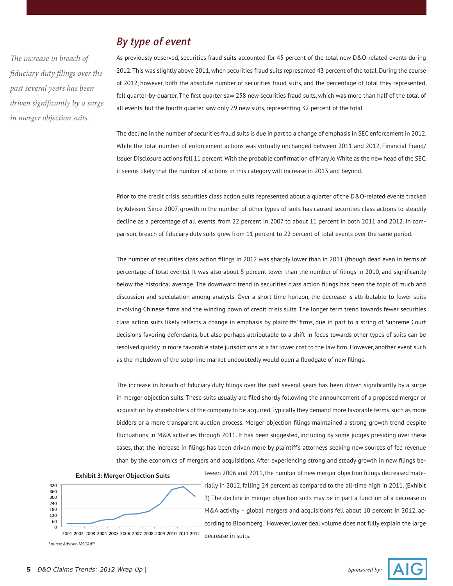*The increase in breach of fiduciary duty filings over the past several years has been driven significantly by a surge in merger objection suits.* 

# *By type of event*

As previously observed, securities fraud suits accounted for 45 percent of the total new D&O-related events during 2012. This was slightly above 2011, when securities fraud suits represented 43 percent of the total. During the course of 2012, however, both the absolute number of securities fraud suits, and the percentage of total they represented, fell quarter-by-quarter. The first quarter saw 258 new securities fraud suits, which was more than half of the total of all events, but the fourth quarter saw only 79 new suits, representing 32 percent of the total.

The decline in the number of securities fraud suits is due in part to a change of emphasis in SEC enforcement in 2012. While the total number of enforcement actions was virtually unchanged between 2011 and 2012, Financial Fraud/ Issuer Disclosure actions fell 11 percent. With the probable confirmation of Mary Jo White as the new head of the SEC, it seems likely that the number of actions in this category will increase in 2013 and beyond.

Prior to the credit crisis, securities class action suits represented about a quarter of the D&O-related events tracked by Advisen. Since 2007, growth in the number of other types of suits has caused securities class actions to steadily decline as a percentage of all events, from 22 percent in 2007 to about 11 percent in both 2011 and 2012. In comparison, breach of fiduciary duty suits grew from 11 percent to 22 percent of total events over the same period.

The number of securities class action filings in 2012 was sharply lower than in 2011 (though dead even in terms of percentage of total events). It was also about 5 percent lower than the number of filings in 2010, and significantly below the historical average. The downward trend in securities class action filings has been the topic of much and discussion and speculation among analysts. Over a short time horizon, the decrease is attributable to fewer suits involving Chinese firms and the winding down of credit crisis suits. The longer term trend towards fewer securities class action suits likely reflects a change in emphasis by plaintiffs' firms, due in part to a string of Supreme Court decisions favoring defendants, but also perhaps attributable to a shift in focus towards other types of suits can be resolved quickly in more favorable state jurisdictions at a far lower cost to the law firm. However, another event such as the meltdown of the subprime market undoubtedly would open a floodgate of new filings.

The increase in breach of fiduciary duty filings over the past several years has been driven significantly by a surge in merger objection suits. These suits usually are filed shortly following the announcement of a proposed merger or acquisition by shareholders of the company to be acquired. Typically they demand more favorable terms, such as more bidders or a more transparent auction process. Merger objection filings maintained a strong growth trend despite fluctuations in M&A activities through 2011. It has been suggested, including by some judges presiding over these cases, that the increase in filings has been driven more by plaintiff's attorneys seeking new sources of fee revenue than by the economics of mergers and acquisitions. After experiencing strong and steady growth in new filings be-

#### **Exhibit 3: Merger Objection Suits**



tween 2006 and 2011, the number of new merger objection filings decreased materially in 2012, falling 24 percent as compared to the all-time high in 2011. (Exhibit 3) The decline in merger objection suits may be in part a function of a decrease in M&A activity – global mergers and acquisitions fell about 10 percent in 2012, according to Bloomberg.1 However, lower deal volume does not fully explain the large

2001 2002 2003 2004 2005 2006 2007 2008 2009 2010 2011 2012 Source: Advisen MSCAd™

decrease in suits.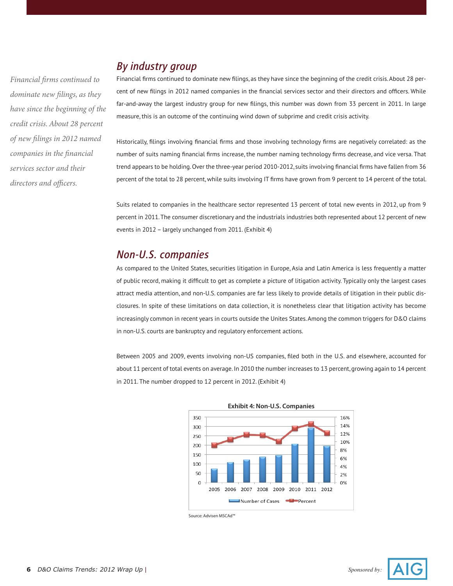## *By industry group*

Financial firms continued to dominate new filings, as they have since the beginning of the credit crisis. About 28 percent of new filings in 2012 named companies in the financial services sector and their directors and officers. While far-and-away the largest industry group for new filings, this number was down from 33 percent in 2011. In large measure, this is an outcome of the continuing wind down of subprime and credit crisis activity.

Historically, filings involving financial firms and those involving technology firms are negatively correlated: as the number of suits naming financial firms increase, the number naming technology firms decrease, and vice versa. That trend appears to be holding. Over the three-year period 2010-2012, suits involving financial firms have fallen from 36 percent of the total to 28 percent, while suits involving IT firms have grown from 9 percent to 14 percent of the total.

Suits related to companies in the healthcare sector represented 13 percent of total new events in 2012, up from 9 percent in 2011. The consumer discretionary and the industrials industries both represented about 12 percent of new events in 2012 – largely unchanged from 2011. (Exhibit 4)

### *Non-U.S. companies*

As compared to the United States, securities litigation in Europe, Asia and Latin America is less frequently a matter of public record, making it difficult to get as complete a picture of litigation activity. Typically only the largest cases attract media attention, and non-U.S. companies are far less likely to provide details of litigation in their public disclosures. In spite of these limitations on data collection, it is nonetheless clear that litigation activity has become increasingly common in recent years in courts outside the Unites States. Among the common triggers for D&O claims in non-U.S. courts are bankruptcy and regulatory enforcement actions.

Between 2005 and 2009, events involving non-US companies, filed both in the U.S. and elsewhere, accounted for about 11 percent of total events on average. In 2010 the number increases to 13 percent, growing again to 14 percent in 2011. The number dropped to 12 percent in 2012. (Exhibit 4)



Source: Advisen MSCAd™

*Financial firms continued to dominate new filings, as they have since the beginning of the credit crisis. About 28 percent of new filings in 2012 named companies in the financial services sector and their directors and officers.* 

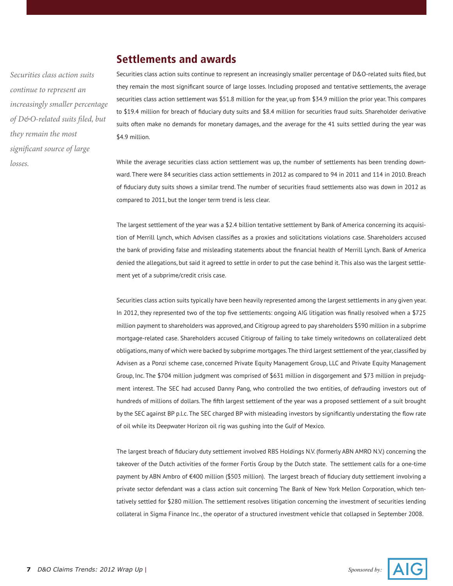### **Settlements and awards**

*Securities class action suits continue to represent an increasingly smaller percentage of D&O-related suits filed, but they remain the most significant source of large losses.* 

Securities class action suits continue to represent an increasingly smaller percentage of D&O-related suits filed, but they remain the most significant source of large losses. Including proposed and tentative settlements, the average securities class action settlement was \$51.8 million for the year, up from \$34.9 million the prior year. This compares to \$19.4 million for breach of fiduciary duty suits and \$8.4 million for securities fraud suits. Shareholder derivative suits often make no demands for monetary damages, and the average for the 41 suits settled during the year was \$4.9 million.

While the average securities class action settlement was up, the number of settlements has been trending downward. There were 84 securities class action settlements in 2012 as compared to 94 in 2011 and 114 in 2010. Breach of fiduciary duty suits shows a similar trend. The number of securities fraud settlements also was down in 2012 as compared to 2011, but the longer term trend is less clear.

The largest settlement of the year was a \$2.4 billion tentative settlement by Bank of America concerning its acquisition of Merrill Lynch, which Advisen classifies as a proxies and solicitations violations case. Shareholders accused the bank of providing false and misleading statements about the financial health of Merrill Lynch. Bank of America denied the allegations, but said it agreed to settle in order to put the case behind it. This also was the largest settlement yet of a subprime/credit crisis case.

Securities class action suits typically have been heavily represented among the largest settlements in any given year. In 2012, they represented two of the top five settlements: ongoing AIG litigation was finally resolved when a \$725 million payment to shareholders was approved, and Citigroup agreed to pay shareholders \$590 million in a subprime mortgage-related case. Shareholders accused Citigroup of failing to take timely writedowns on collateralized debt obligations, many of which were backed by subprime mortgages. The third largest settlement of the year, classified by Advisen as a Ponzi scheme case, concerned Private Equity Management Group, LLC and Private Equity Management Group, Inc. The \$704 million judgment was comprised of \$631 million in disgorgement and \$73 million in prejudgment interest. The SEC had accused Danny Pang, who controlled the two entities, of defrauding investors out of hundreds of millions of dollars. The fifth largest settlement of the year was a proposed settlement of a suit brought by the SEC against BP p.l.c. The SEC charged BP with misleading investors by significantly understating the flow rate of oil while its Deepwater Horizon oil rig was gushing into the Gulf of Mexico.

The largest breach of fiduciary duty settlement involved RBS Holdings N.V. (formerly ABN AMRO N.V.) concerning the takeover of the Dutch activities of the former Fortis Group by the Dutch state. The settlement calls for a one-time payment by ABN Ambro of €400 million (\$503 million). The largest breach of fiduciary duty settlement involving a private sector defendant was a class action suit concerning The Bank of New York Mellon Corporation, which tentatively settled for \$280 million. The settlement resolves litigation concerning the investment of securities lending collateral in Sigma Finance Inc., the operator of a structured investment vehicle that collapsed in September 2008.

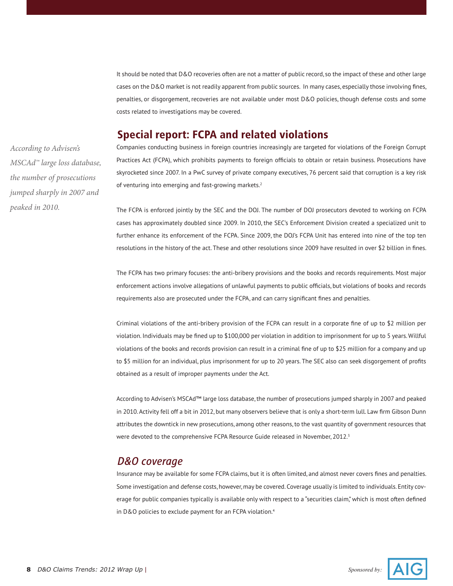It should be noted that D&O recoveries often are not a matter of public record, so the impact of these and other large cases on the D&O market is not readily apparent from public sources. In many cases, especially those involving fines, penalties, or disgorgement, recoveries are not available under most D&O policies, though defense costs and some costs related to investigations may be covered.

### **Special report: FCPA and related violations**

*According to Advisen's MSCAd™ large loss database, the number of prosecutions jumped sharply in 2007 and peaked in 2010.* 

Companies conducting business in foreign countries increasingly are targeted for violations of the Foreign Corrupt Practices Act (FCPA), which prohibits payments to foreign officials to obtain or retain business. Prosecutions have skyrocketed since 2007. In a PwC survey of private company executives, 76 percent said that corruption is a key risk of venturing into emerging and fast-growing markets.<sup>2</sup>

The FCPA is enforced jointly by the SEC and the DOJ. The number of DOJ prosecutors devoted to working on FCPA cases has approximately doubled since 2009. In 2010, the SEC's Enforcement Division created a specialized unit to further enhance its enforcement of the FCPA. Since 2009, the DOJ's FCPA Unit has entered into nine of the top ten resolutions in the history of the act. These and other resolutions since 2009 have resulted in over \$2 billion in fines.

The FCPA has two primary focuses: the anti-bribery provisions and the books and records requirements. Most major enforcement actions involve allegations of unlawful payments to public officials, but violations of books and records requirements also are prosecuted under the FCPA, and can carry significant fines and penalties.

Criminal violations of the anti-bribery provision of the FCPA can result in a corporate fine of up to \$2 million per violation. Individuals may be fined up to \$100,000 per violation in addition to imprisonment for up to 5 years. Willful violations of the books and records provision can result in a criminal fine of up to \$25 million for a company and up to \$5 million for an individual, plus imprisonment for up to 20 years. The SEC also can seek disgorgement of profits obtained as a result of improper payments under the Act.

According to Advisen's MSCAd™ large loss database, the number of prosecutions jumped sharply in 2007 and peaked in 2010. Activity fell off a bit in 2012, but many observers believe that is only a short-term lull. Law firm Gibson Dunn attributes the downtick in new prosecutions, among other reasons, to the vast quantity of government resources that were devoted to the comprehensive FCPA Resource Guide released in November, 2012.<sup>3</sup>

#### *D&O coverage*

Insurance may be available for some FCPA claims, but it is often limited, and almost never covers fines and penalties. Some investigation and defense costs, however, may be covered. Coverage usually is limited to individuals. Entity coverage for public companies typically is available only with respect to a "securities claim," which is most often defined in D&O policies to exclude payment for an FCPA violation.4

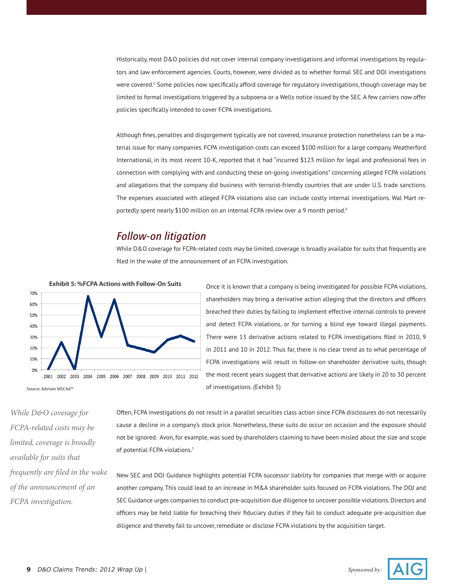Historically, most D&O policies did not cover internal company investigations and informal investigations by regulators and law enforcement agencies. Courts, however, were divided as to whether formal SEC and DOJ investigations were covered.<sup>5</sup> Some policies now specifically afford coverage for regulatory investigations, though coverage may be limited to formal investigations triggered by a subpoena or a Wells notice issued by the SEC. A few carriers now offer policies specifically intended to cover FCPA investigations.

Although fines, penalties and disgorgement typically are not covered, insurance protection nonetheless can be a material issue for many companies. FCPA investigation costs can exceed \$100 million for a large company. Weatherford International, in its most recent 10-K, reported that it had "incurred \$123 million for legal and professional fees in connection with complying with and conducting these on-going investigations" concerning alleged FCPA violations and allegations that the company did business with terrorist-friendly countries that are under U.S. trade sanctions. The expenses associated with alleged FCPA violations also can include costly internal investigations. Wal Mart reportedly spent nearly \$100 million on an internal FCPA review over a 9 month period.<sup>6</sup>

#### *Follow-on litigation*

While D&O coverage for FCPA-related costs may be limited, coverage is broadly available for suits that frequently are filed in the wake of the announcement of an FCPA investigation.



Once it is known that a company is being investigated for possible FCPA violations, shareholders may bring a derivative action alleging that the directors and officers breached their duties by failing to implement effective internal controls to prevent and detect FCPA violations, or for turning a blind eye toward illegal payments. There were 13 derivative actions related to FCPA investigations filed in 2010, 9 in 2011 and 10 in 2012. Thus far, there is no clear trend as to what percentage of FCPA investigations will result in follow-on shareholder derivative suits, though the most recent years suggest that derivative actions are likely in 20 to 30 percent of investigations. (Exhibit 5)

*While D&O coverage for FCPA-related costs may be limited, coverage is broadly available for suits that frequently are filed in the wake of the announcement of an FCPA investigation.*

Often, FCPA investigations do not result in a parallel securities class action since FCPA disclosures do not necessarily cause a decline in a company's stock price. Nonetheless, these suits do occur on occasion and the exposure should not be ignored. Avon, for example, was sued by shareholders claiming to have been misled about the size and scope of potential FCPA violations.7

New SEC and DOJ Guidance highlights potential FCPA successor liability for companies that merge with or acquire another company. This could lead to an increase in M&A shareholder suits focused on FCPA violations. The DOJ and SEC Guidance urges companies to conduct pre-acquisition due diligence to uncover possible violations. Directors and officers may be held liable for breaching their fiduciary duties if they fail to conduct adequate pre-acquisition due diligence and thereby fail to uncover, remediate or disclose FCPA violations by the acquisition target.